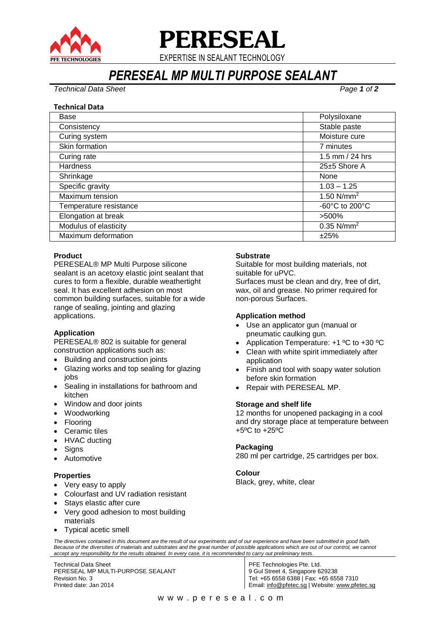

# **PERESEAL**

EXPERTISE IN SEALANT TECHNOLOGY

## *PERESEAL MP MULTI PURPOSE SEALANT*

*Technical Data Sheet Page 1 of 2*

#### **Technical Data**

| Base                   | Polysiloxane                         |
|------------------------|--------------------------------------|
| Consistency            | Stable paste                         |
| Curing system          | Moisture cure                        |
| Skin formation         | 7 minutes                            |
| Curing rate            | 1.5 mm / 24 hrs                      |
| <b>Hardness</b>        | $25\pm 5$ Shore A                    |
| Shrinkage              | None                                 |
| Specific gravity       | $1.03 - 1.25$                        |
| Maximum tension        | 1.50 $N/mm^2$                        |
| Temperature resistance | -60 $^{\circ}$ C to 200 $^{\circ}$ C |
| Elongation at break    | >500%                                |
| Modulus of elasticity  | $0.35$ N/mm <sup>2</sup>             |
| Maximum deformation    | ±25%                                 |

#### **Product**

PERESEAL® MP Multi Purpose silicone sealant is an acetoxy elastic joint sealant that cures to form a flexible, durable weathertight seal. It has excellent adhesion on most common building surfaces, suitable for a wide range of sealing, jointing and glazing applications.

#### **Application**

PERESEAL® 802 is suitable for general construction applications such as:

- Building and construction joints
- Glazing works and top sealing for glazing jobs
- Sealing in installations for bathroom and kitchen
- Window and door joints
- Woodworking
- Flooring
- Ceramic tiles
- HVAC ducting
- Signs
- Automotive

#### **Properties**

- Very easy to apply
- Colourfast and UV radiation resistant
- Stays elastic after cure
- Very good adhesion to most building materials
- Typical acetic smell

#### **Substrate**

Suitable for most building materials, not suitable for uPVC.

Surfaces must be clean and dry, free of dirt, wax, oil and grease. No primer required for non-porous Surfaces.

#### **Application method**

- Use an applicator gun (manual or pneumatic caulking gun.
- Application Temperature: +1 ºC to +30 ºC
- Clean with white spirit immediately after application
- Finish and tool with soapy water solution before skin formation
- Repair with PERESEAL MP.

#### **Storage and shelf life**

12 months for unopened packaging in a cool and dry storage place at temperature between +5ºC to +25ºC

#### **Packaging**

280 ml per cartridge, 25 cartridges per box.

#### **Colour**

Black, grey, white, clear

*The directives contained in this document are the result of our experiments and of our experience and have been submitted in good faith.*  Because of the diversities of materials and substrates and the great number of possible applications which are out of our control, we cannot *accept any responsibility for the results obtained. In every case, it is recommended to carry out preliminary tests.*

Technical Data Sheet PERESEAL MP MULTI-PURPOSE SEALANT Revision No. 3 Printed date: Jan 2014

PFE Technologies Pte. Ltd. 9 Gul Street 4, Singapore 629238 Tel: +65 6558 6388 | Fax: +65 6558 7310 Email: [info@pfetec.sg](mailto:info@pfetec.sg) | Website: www.pfetec.sg